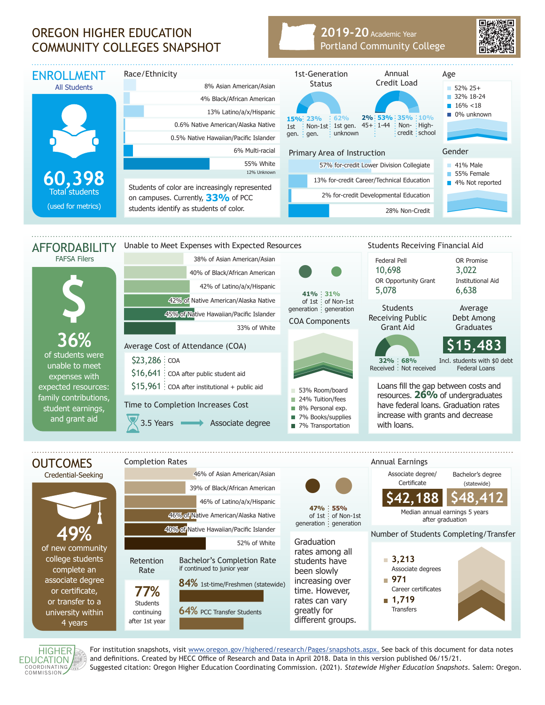## OREGON HIGHER EDUCATION COMMUNITY COLLEGES SNAPSHOT

## **2019-20** Academic Year Portland Community College





For institution snapshots, visit www.oregon.gov/highered/research/Pages/snapshots.aspx. See back of this document for data notes and definitions. Created by HECC Office of Research and Data in April 2018. Data in this version published 06/15/21. Suggested citation: Oregon Higher Education Coordinating Commission. (2021). *Statewide Higher Education Snapshots*. Salem: Oregon.